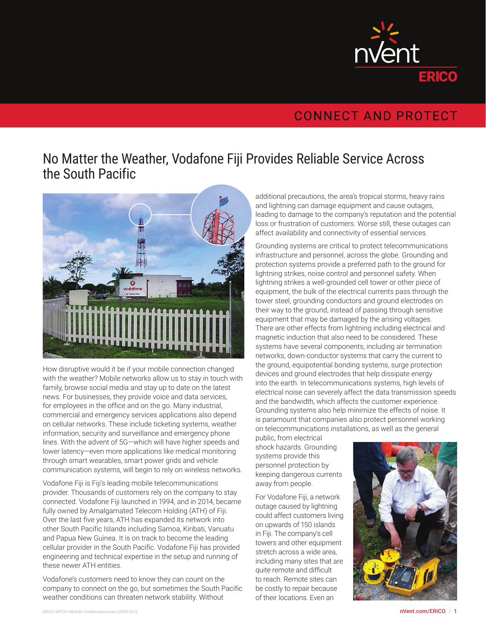

## **CONNECT AND PROTECT**

## No Matter the Weather, Vodafone Fiji Provides Reliable Service Across the South Pacific



How disruptive would it be if your mobile connection changed with the weather? Mobile networks allow us to stay in touch with family, browse social media and stay up to date on the latest news. For businesses, they provide voice and data services, for employees in the office and on the go. Many industrial, commercial and emergency services applications also depend on cellular networks. These include ticketing systems, weather information, security and surveillance and emergency phone lines. With the advent of 5G—which will have higher speeds and lower latency—even more applications like medical monitoring through smart wearables, smart power grids and vehicle communication systems, will begin to rely on wireless networks.

Vodafone Fiji is Fiji's leading mobile telecommunications provider. Thousands of customers rely on the company to stay connected. Vodafone Fiji launched in 1994, and in 2014, became fully owned by Amalgamated Telecom Holding (ATH) of Fiji. Over the last five years, ATH has expanded its network into other South Pacific Islands including Samoa, Kiribati, Vanuatu and Papua New Guinea. It is on track to become the leading cellular provider in the South Pacific. Vodafone Fiji has provided engineering and technical expertise in the setup and running of these newer ATH entities.

Vodafone's customers need to know they can count on the company to connect on the go, but sometimes the South Pacific weather conditions can threaten network stability. Without

additional precautions, the area's tropical storms, heavy rains and lightning can damage equipment and cause outages, leading to damage to the company's reputation and the potential loss or frustration of customers. Worse still, these outages can affect availability and connectivity of essential services.

Grounding systems are critical to protect telecommunications infrastructure and personnel, across the globe. Grounding and protection systems provide a preferred path to the ground for lightning strikes, noise control and personnel safety. When lightning strikes a well-grounded cell tower or other piece of equipment, the bulk of the electrical currents pass through the tower steel, grounding conductors and ground electrodes on their way to the ground, instead of passing through sensitive equipment that may be damaged by the arising voltages. There are other effects from lightning including electrical and magnetic induction that also need to be considered. These systems have several components, including air termination networks, down-conductor systems that carry the current to the ground, equipotential bonding systems, surge protection devices and ground electrodes that help dissipate energy into the earth. In telecommunications systems, high levels of electrical noise can severely affect the data transmission speeds and the bandwidth, which affects the customer experience. Grounding systems also help minimize the effects of noise. It is paramount that companies also protect personnel working on telecommunications installations, as well as the general

public, from electrical shock hazards. Grounding systems provide this personnel protection by keeping dangerous currents away from people.

For Vodafone Fiji, a network outage caused by lightning could affect customers living on upwards of 150 islands in Fiji. The company's cell towers and other equipment stretch across a wide area, including many sites that are quite remote and difficult to reach. Remote sites can be costly to repair because of their locations. Even an